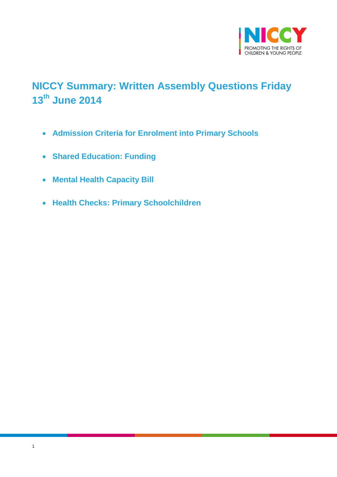

# <span id="page-0-0"></span>**NICCY Summary: Written Assembly Questions Friday 13th June 2014**

- **[Admission Criteria for Enrolment into Primary Schools](#page-1-0)**
- **[Shared Education: Funding](#page-2-0)**
- **[Mental Health Capacity Bill](#page-3-0)**
- **[Health Checks: Primary Schoolchildren](#page-3-1)**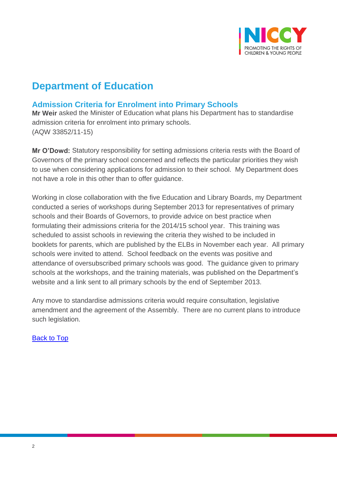

## **Department of Education**

## <span id="page-1-0"></span>**Admission Criteria for Enrolment into Primary Schools**

**Mr Weir** asked the Minister of Education what plans his Department has to standardise admission criteria for enrolment into primary schools. (AQW 33852/11-15)

**Mr O'Dowd:** Statutory responsibility for setting admissions criteria rests with the Board of Governors of the primary school concerned and reflects the particular priorities they wish to use when considering applications for admission to their school. My Department does not have a role in this other than to offer guidance.

Working in close collaboration with the five Education and Library Boards, my Department conducted a series of workshops during September 2013 for representatives of primary schools and their Boards of Governors, to provide advice on best practice when formulating their admissions criteria for the 2014/15 school year. This training was scheduled to assist schools in reviewing the criteria they wished to be included in booklets for parents, which are published by the ELBs in November each year. All primary schools were invited to attend. School feedback on the events was positive and attendance of oversubscribed primary schools was good. The guidance given to primary schools at the workshops, and the training materials, was published on the Department's website and a link sent to all primary schools by the end of September 2013.

Any move to standardise admissions criteria would require consultation, legislative amendment and the agreement of the Assembly. There are no current plans to introduce such legislation.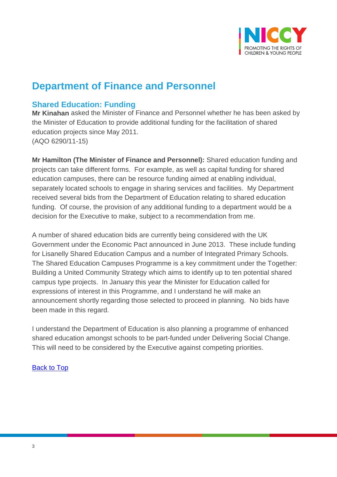

## **Department of Finance and Personnel**

### <span id="page-2-0"></span>**Shared Education: Funding**

**Mr Kinahan** asked the Minister of Finance and Personnel whether he has been asked by the Minister of Education to provide additional funding for the facilitation of shared education projects since May 2011. (AQO 6290/11-15)

**Mr Hamilton (The Minister of Finance and Personnel):** Shared education funding and projects can take different forms. For example, as well as capital funding for shared education campuses, there can be resource funding aimed at enabling individual, separately located schools to engage in sharing services and facilities. My Department received several bids from the Department of Education relating to shared education funding. Of course, the provision of any additional funding to a department would be a decision for the Executive to make, subject to a recommendation from me.

A number of shared education bids are currently being considered with the UK Government under the Economic Pact announced in June 2013. These include funding for Lisanelly Shared Education Campus and a number of Integrated Primary Schools. The Shared Education Campuses Programme is a key commitment under the Together: Building a United Community Strategy which aims to identify up to ten potential shared campus type projects. In January this year the Minister for Education called for expressions of interest in this Programme, and I understand he will make an announcement shortly regarding those selected to proceed in planning. No bids have been made in this regard.

I understand the Department of Education is also planning a programme of enhanced shared education amongst schools to be part-funded under Delivering Social Change. This will need to be considered by the Executive against competing priorities.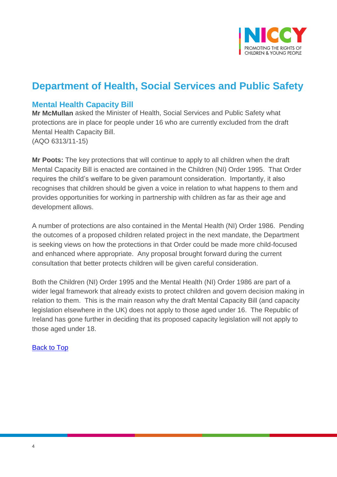

## **Department of Health, Social Services and Public Safety**

### <span id="page-3-0"></span>**Mental Health Capacity Bill**

**Mr McMullan** asked the Minister of Health, Social Services and Public Safety what protections are in place for people under 16 who are currently excluded from the draft Mental Health Capacity Bill. (AQO 6313/11-15)

**Mr Poots:** The key protections that will continue to apply to all children when the draft Mental Capacity Bill is enacted are contained in the Children (NI) Order 1995. That Order requires the child's welfare to be given paramount consideration. Importantly, it also recognises that children should be given a voice in relation to what happens to them and provides opportunities for working in partnership with children as far as their age and development allows.

A number of protections are also contained in the Mental Health (NI) Order 1986. Pending the outcomes of a proposed children related project in the next mandate, the Department is seeking views on how the protections in that Order could be made more child-focused and enhanced where appropriate. Any proposal brought forward during the current consultation that better protects children will be given careful consideration.

<span id="page-3-1"></span>Both the Children (NI) Order 1995 and the Mental Health (NI) Order 1986 are part of a wider legal framework that already exists to protect children and govern decision making in relation to them. This is the main reason why the draft Mental Capacity Bill (and capacity legislation elsewhere in the UK) does not apply to those aged under 16. The Republic of Ireland has gone further in deciding that its proposed capacity legislation will not apply to those aged under 18.